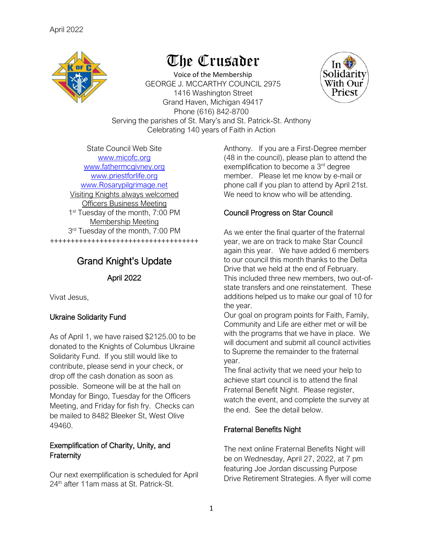

## The Crusader

Voice of the Membership GEORGE J. MCCARTHY COUNCIL 2975 1416 Washington Street Grand Haven, Michigan 49417 Phone (616) 842-8700 Serving the parishes of St. Mary's and St. Patrick-St. Anthony Celebrating 140 years of Faith in Action



State Council Web Site [www.micofc.org](http://www.micofc.org/) [www.fathermcgivney.org](http://www.fathermcgivney.org/) [www.priestforlife.org](http://www.priestforlife.org/) [www.Rosarypilgrimage.net](http://www.rosarypilgrimage.net/) Visiting Knights always welcomed Officers Business Meeting 1<sup>st</sup> Tuesday of the month, 7:00 PM Membership Meeting 3<sup>rd</sup> Tuesday of the month, 7:00 PM ++++++++++++++++++++++++++++++++++++

## Grand Knight's Update

April 2022

Vivat Jesus,

## Ukraine Solidarity Fund

As of April 1, we have raised \$2125.00 to be donated to the Knights of Columbus Ukraine Solidarity Fund. If you still would like to contribute, please send in your check, or drop off the cash donation as soon as possible. Someone will be at the hall on Monday for Bingo, Tuesday for the Officers Meeting, and Friday for fish fry. Checks can be mailed to 8482 Bleeker St, West Olive 49460.

## Exemplification of Charity, Unity, and **Fraternity**

Our next exemplification is scheduled for April 24<sup>th</sup> after 11am mass at St. Patrick-St.

Anthony. If you are a First-Degree member (48 in the council), please plan to attend the exemplification to become a 3<sup>rd</sup> degree member. Please let me know by e-mail or phone call if you plan to attend by April 21st. We need to know who will be attending.

## Council Progress on Star Council

As we enter the final quarter of the fraternal year, we are on track to make Star Council again this year. We have added 6 members to our council this month thanks to the Delta Drive that we held at the end of February. This included three new members, two out-ofstate transfers and one reinstatement. These additions helped us to make our goal of 10 for the year.

Our goal on program points for Faith, Family, Community and Life are either met or will be with the programs that we have in place. We will document and submit all council activities to Supreme the remainder to the fraternal year.

The final activity that we need your help to achieve start council is to attend the final Fraternal Benefit Night. Please register, watch the event, and complete the survey at the end. See the detail below.

## Fraternal Benefits Night

The next online Fraternal Benefits Night will be on Wednesday, April 27, 2022, at 7 pm featuring Joe Jordan discussing Purpose Drive Retirement Strategies. A flyer will come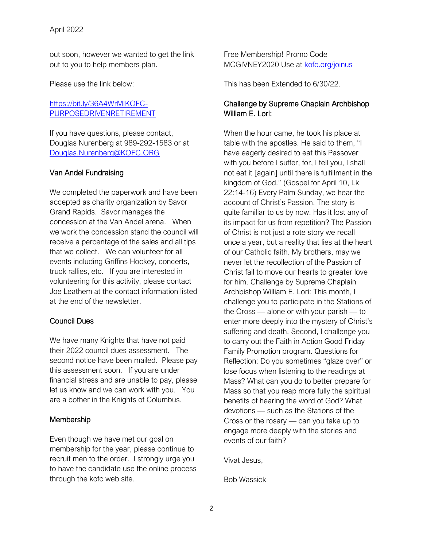out soon, however we wanted to get the link out to you to help members plan.

Please use the link below:

[https://bit.ly/36A4WrMIKOFC-](https://nam12.safelinks.protection.outlook.com/?url=https%3A%2F%2Fbit.ly%2F36A4WrMIKOFC-PURPOSEDRIVENRETIREMENT&data=04%7C01%7CDouglas.Nurenberg%40KOFC.ORG%7C148e28fe32cb46979dcb08d9faccfa66%7C8a4b69f88bb74be59eda6c40a157248c%7C0%7C0%7C637816580554080882%7CUnknown%7CTWFpbGZsb3d8eyJWIjoiMC4wLjAwMDAiLCJQIjoiV2luMzIiLCJBTiI6Ik1haWwiLCJXVCI6Mn0%3D%7C3000&sdata=mP482SbLNkwdsI%2BUHTxuWiHN1HM9T2O469X1R0IFMK0%3D&reserved=0)[PURPOSEDRIVENRETIREMENT](https://nam12.safelinks.protection.outlook.com/?url=https%3A%2F%2Fbit.ly%2F36A4WrMIKOFC-PURPOSEDRIVENRETIREMENT&data=04%7C01%7CDouglas.Nurenberg%40KOFC.ORG%7C148e28fe32cb46979dcb08d9faccfa66%7C8a4b69f88bb74be59eda6c40a157248c%7C0%7C0%7C637816580554080882%7CUnknown%7CTWFpbGZsb3d8eyJWIjoiMC4wLjAwMDAiLCJQIjoiV2luMzIiLCJBTiI6Ik1haWwiLCJXVCI6Mn0%3D%7C3000&sdata=mP482SbLNkwdsI%2BUHTxuWiHN1HM9T2O469X1R0IFMK0%3D&reserved=0)

If you have questions, please contact, Douglas Nurenberg at 989-292-1583 or at [Douglas.Nurenberg@KOFC.ORG](mailto:Douglas.Nurenberg@KOFC.ORG)

#### Van Andel Fundraising

We completed the paperwork and have been accepted as charity organization by Savor Grand Rapids. Savor manages the concession at the Van Andel arena. When we work the concession stand the council will receive a percentage of the sales and all tips that we collect. We can volunteer for all events including Griffins Hockey, concerts, truck rallies, etc. If you are interested in volunteering for this activity, please contact Joe Leathem at the contact information listed at the end of the newsletter.

#### Council Dues

We have many Knights that have not paid their 2022 council dues assessment. The second notice have been mailed. Please pay this assessment soon. If you are under financial stress and are unable to pay, please let us know and we can work with you. You are a bother in the Knights of Columbus.

#### Membership

Even though we have met our goal on membership for the year, please continue to recruit men to the order. I strongly urge you to have the candidate use the online process through the kofc web site.

Free Membership! Promo Code MCGIVNEY2020 Use at [kofc.org/joinus](https://r20.rs6.net/tn.jsp?f=001sBvQxjaoviKro_EJuoFdgRqTCQVdfWTPrk_pfGToZKGJtDJCC67OCc1XrGqcpMpdeLtxvXQTOPEDAVh0lh785rfPumM2RYypR2brpTgqb8jQn8dC-GJDAS6Kg7vrXlbcsggGQFlijIs=&c=dUvYuw22Hxrog46SLIWpiyIZVvhyKe5F2p7b--8iO3bRYd3GxKDFlw==&ch=1eulqzlsu-9oBPltoZdERH69rAKjV3jVpZgWQdHo5TVek5Iv3Uvp4g==)

This has been Extended to 6/30/22.

#### Challenge by Supreme Chaplain Archbishop William E. Lori:

When the hour came, he took his place at table with the apostles. He said to them, "I have eagerly desired to eat this Passover with you before I suffer, for, I tell you, I shall not eat it [again] until there is fulfillment in the kingdom of God." (Gospel for April 10, Lk 22:14-16) Every Palm Sunday, we hear the account of Christ's Passion. The story is quite familiar to us by now. Has it lost any of its impact for us from repetition? The Passion of Christ is not just a rote story we recall once a year, but a reality that lies at the heart of our Catholic faith. My brothers, may we never let the recollection of the Passion of Christ fail to move our hearts to greater love for him. Challenge by Supreme Chaplain Archbishop William E. Lori: This month, I challenge you to participate in the Stations of the Cross — alone or with your parish — to enter more deeply into the mystery of Christ's suffering and death. Second, I challenge you to carry out the Faith in Action Good Friday Family Promotion program. Questions for Reflection: Do you sometimes "glaze over" or lose focus when listening to the readings at Mass? What can you do to better prepare for Mass so that you reap more fully the spiritual benefits of hearing the word of God? What devotions — such as the Stations of the Cross or the rosary — can you take up to engage more deeply with the stories and events of our faith?

Vivat Jesus,

Bob Wassick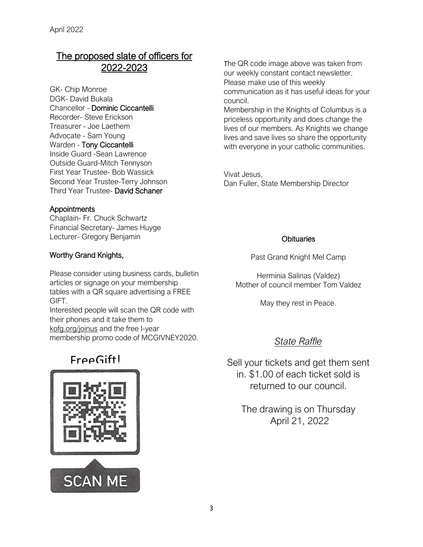## The proposed slate of officers for 2022-2023

GK- Chip Monroe DGK- David Bukala Chancellor - Dominic Ciccantelli Recorder- Steve Erickson Treasurer - Joe Laethem Advocate - Sam Young Warden - Tony Ciccantelli Inside Guard -Sean Lawrence Outside Guard-Mitch Tennyson First Year Trustee- Bob Wassick Second Year Trustee-Terry Johnson Third Year Trustee- David Schaner

## **Appointments**

Chaplain- Fr. Chuck Schwartz Financial Secretary- James Huyge Lecturer- Gregory Benjamin

## Worthy Grand Knights,

Please consider using business cards, bulletin articles or signage on your membership tables with a QR square advertising a FREE GIFT.

Interested people will scan the QR code with their phones and it take them to kofg.org/joinus and the free I-year membership promo code of MCGIVNEY2020.

## Free Gift!



The QR code image above was taken from our weekly constant contact newsletter. Please make use of this weekly communication as it has useful ideas for your council.

Membership in the Knights of Columbus is a priceless opportunity and does change the lives of our members. As Knights we change lives and save lives so share the opportunity with everyone in your catholic communities.

Vivat Jesus, Dan Fuller, State Membership Director

#### **Obituaries**

Past Grand Knight Mel Camp

Herminia Salinas (Valdez) Mother of council member Tom Valdez

May they rest in Peace.

## *State Raffle*

Sell your tickets and get them sent in. \$1.00 of each ticket sold is returned to our council.

> The drawing is on Thursday April 21, 2022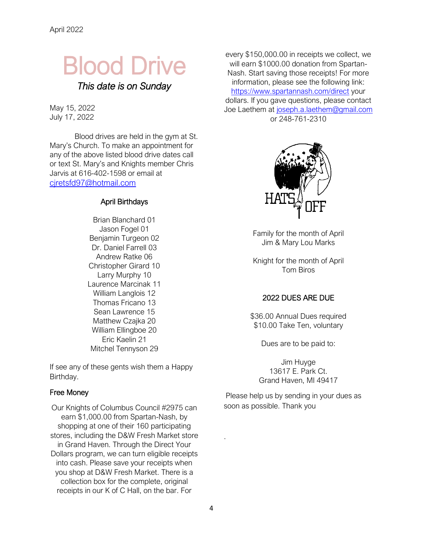# Blood Drive

*This date is on Sunday* 

May 15, 2022 July 17, 2022

Blood drives are held in the gym at St. Mary's Church. To make an appointment for any of the above listed blood drive dates call or text St. Mary's and Knights member Chris Jarvis at 616-402-1598 or email at [cjretsfd97@hotmail.com](mailto:cjretsfd97@hotmail.com)

#### April Birthdays

Brian Blanchard 01 Jason Fogel 01 Benjamin Turgeon 02 Dr. Daniel Farrell 03 Andrew Ratke 06 Christopher Girard 10 Larry Murphy 10 Laurence Marcinak 11 William Langlois 12 Thomas Fricano 13 Sean Lawrence 15 Matthew Czajka 20 William Ellingboe 20 Eric Kaelin 21 Mitchel Tennyson 29

If see any of these gents wish them a Happy Birthday.

#### Free Money

Our Knights of Columbus Council #2975 can earn \$1,000.00 from Spartan-Nash, by shopping at one of their 160 participating stores, including the D&W Fresh Market store in Grand Haven. Through the Direct Your Dollars program, we can turn eligible receipts into cash. Please save your receipts when you shop at D&W Fresh Market. There is a collection box for the complete, original receipts in our K of C Hall, on the bar. For

every \$150,000.00 in receipts we collect, we will earn \$1000.00 donation from Spartan-Nash. Start saving those receipts! For more information, please see the following link: <https://www.spartannash.com/direct> your dollars. If you gave questions, please contact Joe Laethem at [joseph.a.laethem@gmail.com](mailto:joseph.a.laethem@gmail.com) or 248-761-2310



Family for the month of April Jim & Mary Lou Marks

Knight for the month of April Tom Biros

## 2022 DUES ARE DUE

\$36.00 Annual Dues required \$10.00 Take Ten, voluntary

Dues are to be paid to:

Jim Huyge 13617 E. Park Ct. Grand Haven, MI 49417

Please help us by sending in your dues as soon as possible. Thank you

.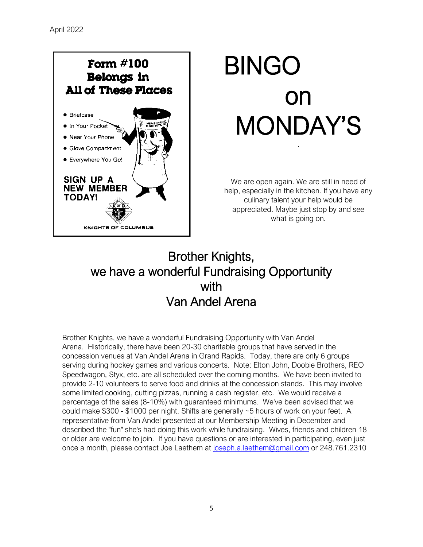## Form  $\#100$ **Belongs in All of These Places •** Briefcase ● In Your Pocket **• Near Your Phone Cilove Compartment** · Everywhere You Go! **SIGN UP A NEW MEMBER TODAY!** KNIGHTS OF COLUMBUS

# BINGO on MONDAY'S .

We are open again. We are still in need of help, especially in the kitchen. If you have any culinary talent your help would be appreciated. Maybe just stop by and see what is going on.

## Brother Knights, we have a wonderful Fundraising Opportunity with Van Andel Arena

Brother Knights, we have a wonderful Fundraising Opportunity with Van Andel Arena. Historically, there have been 20-30 charitable groups that have served in the concession venues at Van Andel Arena in Grand Rapids. Today, there are only 6 groups serving during hockey games and various concerts. Note: Elton John, Doobie Brothers, REO Speedwagon, Styx, etc. are all scheduled over the coming months. We have been invited to provide 2-10 volunteers to serve food and drinks at the concession stands. This may involve some limited cooking, cutting pizzas, running a cash register, etc. We would receive a percentage of the sales (8-10%) with guaranteed minimums. We've been advised that we could make \$300 - \$1000 per night. Shifts are generally ~5 hours of work on your feet. A representative from Van Andel presented at our Membership Meeting in December and described the "fun" she's had doing this work while fundraising. Wives, friends and children 18 or older are welcome to join. If you have questions or are interested in participating, even just once a month, please contact Joe Laethem at [joseph.a.laethem@gmail.com](mailto:joseph.a.laethem@gmail.com) or 248.761.2310